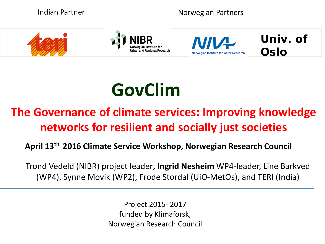

# **GovClim**

## **The Governance of climate services: Improving knowledge networks for resilient and socially just societies**

#### **April 13th 2016 Climate Service Workshop, Norwegian Research Council**

Trond Vedeld (NIBR) project leader**, Ingrid Nesheim** WP4-leader, Line Barkved (WP4), Synne Movik (WP2), Frode Stordal (UiO-MetOs), and TERI (India)

> Project 2015- 2017 funded by Klimaforsk, Norwegian Research Council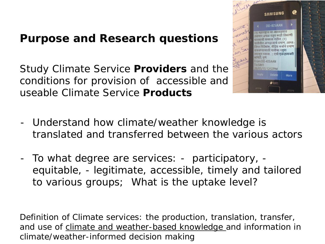## **Purpose and Research questions**

Study Climate Service *Providers* and the conditions for provision of accessible and useable Climate Service *Products*



- Understand how climate/weather knowledge is translated and transferred between the various actors
- To what degree are services: *participatory*, *equitable*, - *legitimate*, *accessible*, *timely* and *tailored* to various groups; What is the uptake level?

*Definition of Climate services: the production, translation, transfer, and use of climate and weather-based knowledge and information in climate/weather-informed decision making*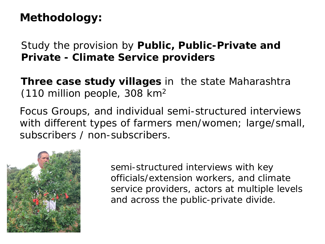## **Methodology:**

Study the provision by **Public, Public-Private and Private - Climate Service providers**

**Three case study villages** in the state Maharashtra (110 million people, 308 km2

Focus Groups, and individual semi-structured interviews with different types of farmers men/women; large/small, subscribers / non-subscribers.



semi-structured interviews with key officials/extension workers, and climate service providers, actors at multiple levels and across the public-private divide.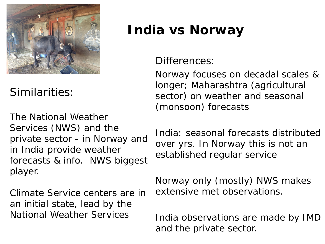

*Similarities:* 

The National Weather Services (NWS) and the private sector - in Norway and in India provide weather forecasts & info. NWS biggest player.

Climate Service centers are in an initial state, lead by the National Weather Services

# **India vs Norway**

#### *Differences:*

Norway focuses on decadal scales & longer; Maharashtra (agricultural sector) on weather and seasonal (monsoon) forecasts

India: seasonal forecasts distributed over yrs. In Norway this is not an established regular service

Norway only (mostly) NWS makes extensive met observations.

India observations are made by IMD and the private sector.